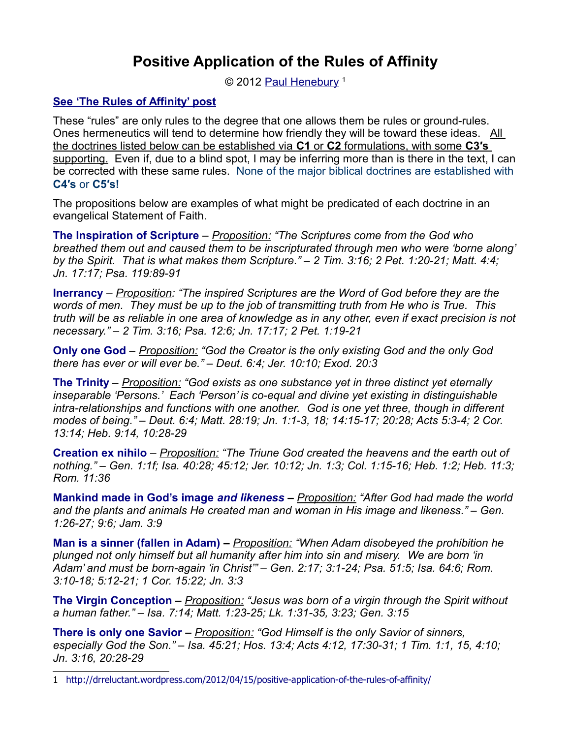## **Positive Application of the Rules of Affinity**

© 2012 [Paul Henebury](http://www.spiritandtruth.org/id/ph.htm)<sup>[1](#page-0-0)</sup>

## **[See 'The Rules of Affinity' post](http://www.spiritandtruth.org/teaching/documents/articles/index.htm#106)**

These "rules" are only rules to the degree that one allows them be rules or ground-rules. Ones hermeneutics will tend to determine how friendly they will be toward these ideas. All the doctrines listed below can be established via **C1** or **C2** formulations, with some **C3′s** supporting. Even if, due to a blind spot, I may be inferring more than is there in the text, I can be corrected with these same rules. None of the major biblical doctrines are established with **C4′s** or **C5′s!**

The propositions below are examples of what might be predicated of each doctrine in an evangelical Statement of Faith.

**The Inspiration of Scripture** *– Proposition: "The Scriptures come from the God who breathed them out and caused them to be inscripturated through men who were 'borne along' by the Spirit. That is what makes them Scripture." – 2 Tim. 3:16; 2 Pet. 1:20-21; Matt. 4:4; Jn. 17:17; Psa. 119:89-91* 

**Inerrancy** *– Proposition: "The inspired Scriptures are the Word of God before they are the words of men. They must be up to the job of transmitting truth from He who is True. This truth will be as reliable in one area of knowledge as in any other, even if exact precision is not necessary." – 2 Tim. 3:16; Psa. 12:6; Jn. 17:17; 2 Pet. 1:19-21*

**Only one God** *– Proposition: "God the Creator is the only existing God and the only God there has ever or will ever be." – Deut. 6:4; Jer. 10:10; Exod. 20:3*

**The Trinity** *– Proposition: "God exists as one substance yet in three distinct yet eternally inseparable 'Persons.' Each 'Person' is co-equal and divine yet existing in distinguishable intra-relationships and functions with one another. God is one yet three, though in different modes of being." – Deut. 6:4; Matt. 28:19; Jn. 1:1-3, 18; 14:15-17; 20:28; Acts 5:3-4; 2 Cor. 13:14; Heb. 9:14, 10:28-29*

**Creation ex nihilo** *– Proposition: "The Triune God created the heavens and the earth out of nothing." – Gen. 1:1f; Isa. 40:28; 45:12; Jer. 10:12; Jn. 1:3; Col. 1:15-16; Heb. 1:2; Heb. 11:3; Rom. 11:36*

**Mankind made in God's image** *and likeness – Proposition: "After God had made the world and the plants and animals He created man and woman in His image and likeness." – Gen. 1:26-27; 9:6; Jam. 3:9*

**Man is a sinner (fallen in Adam)** *– Proposition: "When Adam disobeyed the prohibition he plunged not only himself but all humanity after him into sin and misery. We are born 'in Adam' and must be born-again 'in Christ'" – Gen. 2:17; 3:1-24; Psa. 51:5; Isa. 64:6; Rom. 3:10-18; 5:12-21; 1 Cor. 15:22; Jn. 3:3*

**The Virgin Conception** *– Proposition: "Jesus was born of a virgin through the Spirit without a human father." – Isa. 7:14; Matt. 1:23-25; Lk. 1:31-35, 3:23; Gen. 3:15*

**There is only one Savior** *– Proposition: "God Himself is the only Savior of sinners, especially God the Son." – Isa. 45:21; Hos. 13:4; Acts 4:12, 17:30-31; 1 Tim. 1:1, 15, 4:10; Jn. 3:16, 20:28-29*

<span id="page-0-0"></span><sup>1</sup> <http://drreluctant.wordpress.com/2012/04/15/positive-application-of-the-rules-of-affinity/>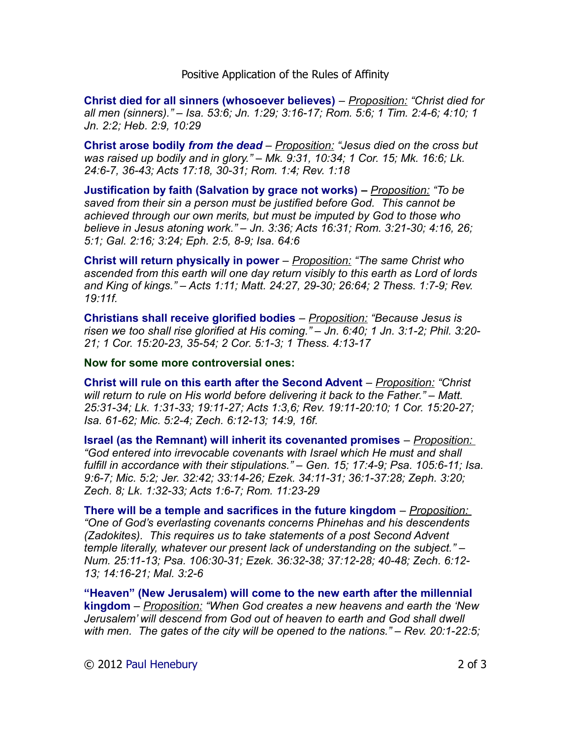Positive Application of the Rules of Affinity

**Christ died for all sinners (whosoever believes)** *– Proposition: "Christ died for all men (sinners)." – Isa. 53:6; Jn. 1:29; 3:16-17; Rom. 5:6; 1 Tim. 2:4-6; 4:10; 1 Jn. 2:2; Heb. 2:9, 10:29*

**Christ arose bodily** *from the dead – Proposition: "Jesus died on the cross but was raised up bodily and in glory." – Mk. 9:31, 10:34; 1 Cor. 15; Mk. 16:6; Lk. 24:6-7, 36-43; Acts 17:18, 30-31; Rom. 1:4; Rev. 1:18*

**Justification by faith (Salvation by grace not works)** *– Proposition: "To be saved from their sin a person must be justified before God. This cannot be achieved through our own merits, but must be imputed by God to those who believe in Jesus atoning work." – Jn. 3:36; Acts 16:31; Rom. 3:21-30; 4:16, 26; 5:1; Gal. 2:16; 3:24; Eph. 2:5, 8-9; Isa. 64:6*

**Christ will return physically in power** *– Proposition: "The same Christ who ascended from this earth will one day return visibly to this earth as Lord of lords and King of kings." – Acts 1:11; Matt. 24:27, 29-30; 26:64; 2 Thess. 1:7-9; Rev. 19:11f.*

**Christians shall receive glorified bodies** *– Proposition: "Because Jesus is risen we too shall rise glorified at His coming." – Jn. 6:40; 1 Jn. 3:1-2; Phil. 3:20- 21; 1 Cor. 15:20-23, 35-54; 2 Cor. 5:1-3; 1 Thess. 4:13-17* 

**Now for some more controversial ones:**

**Christ will rule on this earth after the Second Advent** *– Proposition: "Christ will return to rule on His world before delivering it back to the Father." – Matt. 25:31-34; Lk. 1:31-33; 19:11-27; Acts 1:3,6; Rev. 19:11-20:10; 1 Cor. 15:20-27; Isa. 61-62; Mic. 5:2-4; Zech. 6:12-13; 14:9, 16f.*

**Israel (as the Remnant) will inherit its covenanted promises** *– Proposition: "God entered into irrevocable covenants with Israel which He must and shall fulfill in accordance with their stipulations." – Gen. 15; 17:4-9; Psa. 105:6-11; Isa. 9:6-7; Mic. 5:2; Jer. 32:42; 33:14-26; Ezek. 34:11-31; 36:1-37:28; Zeph. 3:20; Zech. 8; Lk. 1:32-33; Acts 1:6-7; Rom. 11:23-29*

**There will be a temple and sacrifices in the future kingdom** *– Proposition: "One of God's everlasting covenants concerns Phinehas and his descendents (Zadokites). This requires us to take statements of a post Second Advent temple literally, whatever our present lack of understanding on the subject." – Num. 25:11-13; Psa. 106:30-31; Ezek. 36:32-38; 37:12-28; 40-48; Zech. 6:12- 13; 14:16-21; Mal. 3:2-6*

**"Heaven" (New Jerusalem) will come to the new earth after the millennial kingdom** *– Proposition: "When God creates a new heavens and earth the 'New Jerusalem' will descend from God out of heaven to earth and God shall dwell with men. The gates of the city will be opened to the nations." – Rev. 20:1-22:5;*